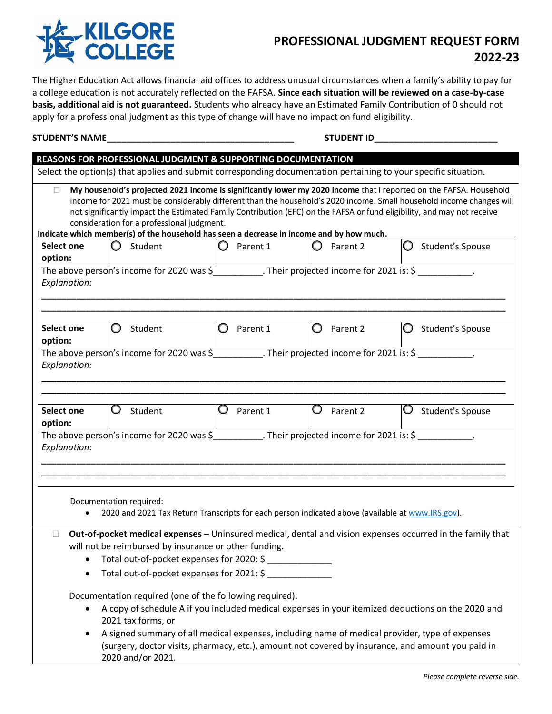

## **PROFESSIONAL JUDGMENT REQUEST FORM 2022-23**

The Higher Education Act allows financial aid offices to address unusual circumstances when a family's ability to pay for a college education is not accurately reflected on the FAFSA. **Since each situation will be reviewed on a case-by-case basis, additional aid is not guaranteed.** Students who already have an Estimated Family Contribution of 0 should not apply for a professional judgment as this type of change will have no impact on fund eligibility.

## **STUDENT'S NAME\_\_\_\_\_\_\_\_\_\_\_\_\_\_\_\_\_\_\_\_\_\_\_\_\_\_\_\_\_\_\_\_\_\_\_\_\_\_ STUDENT ID\_\_\_\_\_\_\_\_\_\_\_\_\_\_\_\_\_\_\_\_\_\_\_\_\_**

|                              |                                            | REASONS FOR PROFESSIONAL JUDGMENT & SUPPORTING DOCUMENTATION                                                                                      |               |                                                                                                                                                                                                                                                                                                                                                                      |
|------------------------------|--------------------------------------------|---------------------------------------------------------------------------------------------------------------------------------------------------|---------------|----------------------------------------------------------------------------------------------------------------------------------------------------------------------------------------------------------------------------------------------------------------------------------------------------------------------------------------------------------------------|
|                              |                                            |                                                                                                                                                   |               | Select the option(s) that applies and submit corresponding documentation pertaining to your specific situation.                                                                                                                                                                                                                                                      |
| □                            | consideration for a professional judgment. | Indicate which member(s) of the household has seen a decrease in income and by how much.                                                          |               | My household's projected 2021 income is significantly lower my 2020 income that I reported on the FAFSA. Household<br>income for 2021 must be considerably different than the household's 2020 income. Small household income changes will<br>not significantly impact the Estimated Family Contribution (EFC) on the FAFSA or fund eligibility, and may not receive |
| Select one                   | $\bigcirc$<br>Student                      | Parent 1                                                                                                                                          | Parent 2      | O<br>Student's Spouse                                                                                                                                                                                                                                                                                                                                                |
| option:                      |                                            |                                                                                                                                                   |               |                                                                                                                                                                                                                                                                                                                                                                      |
| Explanation:                 |                                            | The above person's income for 2020 was $\zeta$ __________. Their projected income for 2021 is: $\zeta$ ___________.                               |               |                                                                                                                                                                                                                                                                                                                                                                      |
| Select one<br>option:        | Student<br>O                               | Parent 1                                                                                                                                          | Parent 2      | Student's Spouse<br>O                                                                                                                                                                                                                                                                                                                                                |
| Explanation:                 |                                            | The above person's income for 2020 was $\frac{2}{5}$ Their projected income for 2021 is: $\frac{2}{5}$                                            |               |                                                                                                                                                                                                                                                                                                                                                                      |
| <b>Select one</b><br>option: | Q<br>Student                               | Parent 1<br>U                                                                                                                                     | Parent 2<br>U | Student's Spouse<br>Ò                                                                                                                                                                                                                                                                                                                                                |
| Explanation:                 |                                            | The above person's income for 2020 was $\frac{2}{5}$ Their projected income for 2021 is: $\frac{2}{5}$                                            |               |                                                                                                                                                                                                                                                                                                                                                                      |
|                              | Documentation required:                    | 2020 and 2021 Tax Return Transcripts for each person indicated above (available at www.IRS.gov).                                                  |               |                                                                                                                                                                                                                                                                                                                                                                      |
| $\Box$                       |                                            | will not be reimbursed by insurance or other funding.<br>• Total out-of-pocket expenses for 2020: \$<br>Total out-of-pocket expenses for 2021: \$ |               | Out-of-pocket medical expenses - Uninsured medical, dental and vision expenses occurred in the family that                                                                                                                                                                                                                                                           |
| $\bullet$                    | 2021 tax forms, or<br>2020 and/or 2021.    | Documentation required (one of the following required):                                                                                           |               | A copy of schedule A if you included medical expenses in your itemized deductions on the 2020 and<br>A signed summary of all medical expenses, including name of medical provider, type of expenses<br>(surgery, doctor visits, pharmacy, etc.), amount not covered by insurance, and amount you paid in                                                             |